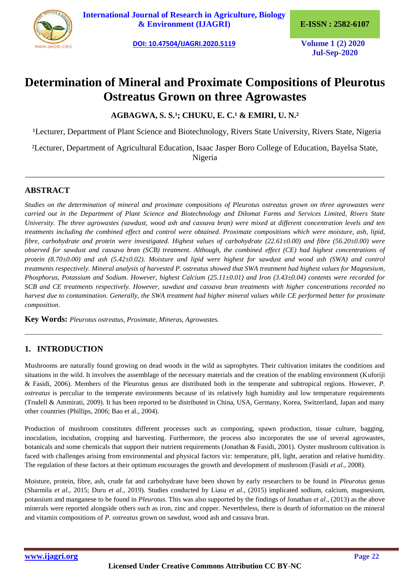

**[International Journal of Research in Agriculture, Biology](https://ijagri.org/index.php/ijagri/about)  [& Environment \(IJAGRI\)](https://ijagri.org/index.php/ijagri/about) E-ISSN : 2582-6107**

**[DOI: 10.47504/IJAGRI.2020.5119](http://doi.org/10.47504/IJAGRI.2020.5119) Volume 1 (2) 2020**

**Jul-Sep-2020**

# **Determination of Mineral and Proximate Compositions of Pleurotus Ostreatus Grown on three Agrowastes**

**AGBAGWA, S. S.¹; CHUKU, E. C.¹ & EMIRI, U. N.²**

<sup>1</sup>Lecturer, Department of Plant Science and Biotechnology, Rivers State University, Rivers State, Nigeria

²Lecturer, Department of Agricultural Education, Isaac Jasper Boro College of Education, Bayelsa State, Nigeria

\_\_\_\_\_\_\_\_\_\_\_\_\_\_\_\_\_\_\_\_\_\_\_\_\_\_\_\_\_\_\_\_\_\_\_\_\_\_\_\_\_\_\_\_\_\_\_\_\_\_\_\_\_\_\_\_\_\_\_\_\_\_\_\_\_\_\_\_\_\_\_\_\_\_\_\_\_\_\_\_\_\_\_\_\_\_\_

# **ABSTRACT**

*Studies on the determination of mineral and proximate compositions of Pleurotus ostreatus grown on three agrowastes were carried out in the Department of Plant Science and Biotechnology and Dilomat Farms and Services Limited, Rivers State University. The three agrowastes (sawdust, wood ash and cassava bran) were mixed at different concentration levels and ten treatments including the combined effect and control were obtained. Proximate compositions which were moisture, ash, lipid, fibre, carbohydrate and protein were investigated. Highest values of carbohydrate (22.61±0.00) and fibre (56.20±0.00) were observed for sawdust and cassava bran (SCB) treatment. Although, the combined effect (CE) had highest concentrations of protein (8.70±0.00) and ash (5.42±0.02). Moisture and lipid were highest for sawdust and wood ash (SWA) and control treatments respectively. Mineral analysis of harvested P. ostreatus showed that SWA treatment had highest values for Magnesium, Phosphorus, Potassium and Sodium. However, highest Calcium (25.11±0.01) and Iron (3.43±0.04) contents were recorded for SCB and CE treatments respectively. However, sawdust and cassava bran treatments with higher concentrations recorded no harvest due to contamination. Generally, the SWA treatment had higher mineral values while CE performed better for proximate composition.*

**Key Words:** *Pleurotus ostreatus, Proximate, Mineras, Agrowastes.*

# **1. INTRODUCTION**

Mushrooms are naturally found growing on dead woods in the wild as saprophytes. Their cultivation imitates the conditions and situations in the wild. It involves the assemblage of the necessary materials and the creation of the enabling environment (Kuforiji & Fasidi, 2006). Members of the Pleurotus genus are distributed both in the temperate and subtropical regions. However, *P. ostreatus* is perculiar to the temperate environments because of its relatively high humidity and low temperature requirements (Trudell & Ammirati, 2009). It has been reported to be distributed in China, USA, Germany, Korea, Switzerland, Japan and many other countries (Phillips, 2006; Bao et al., 2004).

*\_\_\_\_\_\_\_\_\_\_\_\_\_\_\_\_\_\_\_\_\_\_\_\_\_\_\_\_\_\_\_\_\_\_\_\_\_\_\_\_\_\_\_\_\_\_\_\_\_\_\_\_\_\_\_\_\_\_\_\_\_\_\_\_\_\_\_\_\_\_\_\_\_\_\_\_\_\_\_\_\_\_\_\_\_\_\_\_\_\_\_\_\_\_\_\_\_\_\_\_\_\_\_\_*

Production of mushroom constitutes different processes such as composting, spawn production, tissue culture, bagging, inoculation, incubation, cropping and harvesting. Furthermore, the process also incorporates the use of several agrowastes, botanicals and some chemicals that support their nutrient requirements (Jonathan & Fasidi, 2001). Oyster mushroom cultivation is faced with challenges arising from environmental and physical factors viz: temperature, pH, light, aeration and relative humidity. The regulation of these factors at their optimum encourages the growth and development of mushroom (Fasidi *et al*., 2008).

Moisture, protein, fibre, ash, crude fat and carbohydrate have been shown by early researchers to be found in *Pleurotus* genus (Sharmila *et al*., 2015; Duru *et al*., 2019). Studies conducted by Liasu *et al*., (2015) implicated sodium, calcium, magnesium, potassium and manganese to be found in *Pleurotus*. This was also supported by the findings of Jonathan *et al*., (2013) as the above minerals were reported alongside others such as iron, zinc and copper. Nevertheless, there is dearth of information on the mineral and vitamin compositions of *P. ostreatus* grown on sawdust, wood ash and cassava bran.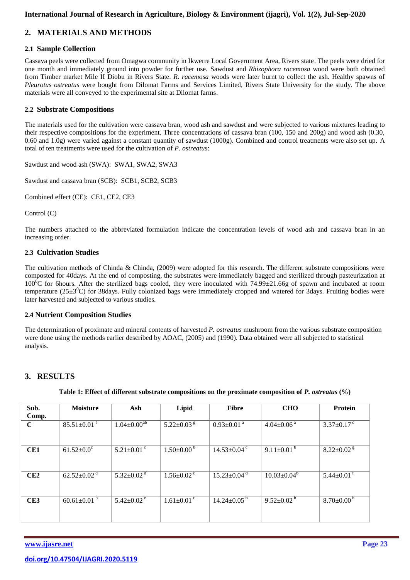# **2. MATERIALS AND METHODS**

## **2.1 Sample Collection**

Cassava peels were collected from Omagwa community in Ikwerre Local Government Area, Rivers state. The peels were dried for one month and immediately ground into powder for further use. Sawdust and *Rhizophora racemosa* wood were both obtained from Timber market Mile II Diobu in Rivers State. *R. racemosa* woods were later burnt to collect the ash. Healthy spawns of *Pleurotus ostreatus* were bought from Dilomat Farms and Services Limited, Rivers State University for the study. The above materials were all conveyed to the experimental site at Dilomat farms.

## **2.2 Substrate Compositions**

The materials used for the cultivation were cassava bran, wood ash and sawdust and were subjected to various mixtures leading to their respective compositions for the experiment. Three concentrations of cassava bran (100, 150 and 200g) and wood ash (0.30, 0.60 and 1.0g) were varied against a constant quantity of sawdust (1000g). Combined and control treatments were also set up. A total of ten treatments were used for the cultivation of *P. ostreatus*:

Sawdust and wood ash (SWA): SWA1, SWA2, SWA3

Sawdust and cassava bran (SCB): SCB1, SCB2, SCB3

Combined effect (CE): CE1, CE2, CE3

Control (C)

The numbers attached to the abbreviated formulation indicate the concentration levels of wood ash and cassava bran in an increasing order.

### **2.3 Cultivation Studies**

The cultivation methods of Chinda & Chinda,  $(2009)$  were adopted for this research. The different substrate compositions were composted for 40days. At the end of composting, the substrates were immediately bagged and sterilized through pasteurization at  $100\text{°C}$  for 6hours. After the sterilized bags cooled, they were inoculated with 74.99±21.66g of spawn and incubated at room temperature ( $25\pm3^{\circ}$ C) for 38days. Fully colonized bags were immediately cropped and watered for 3days. Fruiting bodies were later harvested and subjected to various studies.

### **2.4 Nutrient Composition Studies**

The determination of proximate and mineral contents of harvested *P. ostreatus* mushroom from the various substrate composition were done using the methods earlier described by AOAC, (2005) and (1990). Data obtained were all subjected to statistical analysis.

## **3. RESULTS**

| Sub.<br>Comp. | <b>Moisture</b>               | Ash                          | Lipid                        | <b>Fibre</b>                  | <b>CHO</b>                   | <b>Protein</b>               |
|---------------|-------------------------------|------------------------------|------------------------------|-------------------------------|------------------------------|------------------------------|
| $\mathbf C$   | $85.51 \pm 0.01$ <sup>f</sup> | $1.04 \pm 0.00^{ab}$         | 5.22 $\pm$ 0.03 $\mathrm{g}$ | $0.93 \pm 0.01$ <sup>a</sup>  | $4.04 \pm 0.06$ <sup>a</sup> | $3.37 \pm 0.17$ °            |
| CE1           | $61.52 \pm 0.0^{\circ}$       | 5.21 $\pm$ 0.01 $\degree$    | $1.50\pm0.00^{\mathrm{b}}$   | $14.53 \pm 0.04$ <sup>c</sup> | 9.11 $\pm$ 0.01 <sup>b</sup> | $8.22 \pm 0.02$ <sup>g</sup> |
| CE2           | $62.52 \pm 0.02$ <sup>d</sup> | 5.32 $\pm$ 0.02 <sup>d</sup> | $1.56 \pm 0.02$ <sup>c</sup> | $15.23 \pm 0.04$ <sup>d</sup> | $10.03 \pm 0.04^b$           | $5.44 \pm 0.01$ <sup>f</sup> |
| CE3           | 60.61 $\pm$ 0.01 <sup>b</sup> | $5.42 \pm 0.02$ <sup>e</sup> | $1.61 \pm 0.01$ c            | $14.24 \pm 0.05^{\mathrm{b}}$ | $9.52 \pm 0.02^{\mathrm{b}}$ | $8.70 \pm 0.00^{\mathrm{h}}$ |

**Table 1: Effect of different substrate compositions on the proximate composition of** *P. ostreatus* **(%)**

**[www.ijasre.net](http://www.ijasre.net/) Page 23**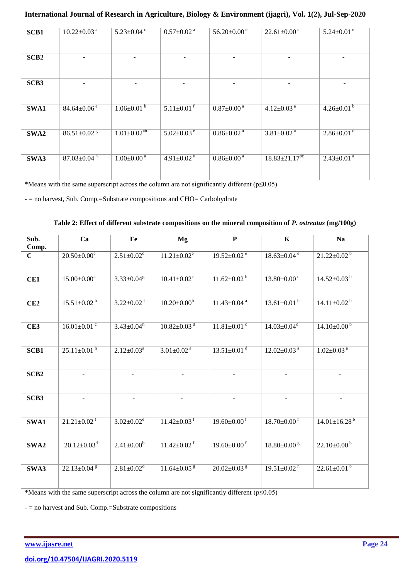| SCB1             | $10.22 \pm 0.03$ <sup>a</sup> | $5.23 \pm 0.04$ <sup>c</sup> | $0.57 \pm 0.02$ <sup>a</sup> | $56.20 \pm 0.00$ <sup>e</sup>  | $22.61 \pm 0.00$ <sup>c</sup> | $5.24 \pm 0.01$ <sup>e</sup> |
|------------------|-------------------------------|------------------------------|------------------------------|--------------------------------|-------------------------------|------------------------------|
|                  |                               |                              |                              |                                |                               |                              |
|                  |                               |                              |                              |                                |                               |                              |
|                  |                               |                              |                              |                                |                               |                              |
| SCB <sub>2</sub> |                               |                              |                              |                                |                               |                              |
|                  |                               |                              |                              |                                |                               |                              |
|                  |                               |                              |                              |                                |                               |                              |
|                  |                               |                              |                              |                                |                               |                              |
|                  |                               |                              |                              |                                |                               |                              |
| SCB <sub>3</sub> |                               |                              |                              |                                |                               |                              |
|                  |                               |                              |                              |                                |                               |                              |
|                  |                               |                              |                              |                                |                               |                              |
|                  |                               |                              |                              |                                |                               |                              |
| SWA1             | $84.64 \pm 0.06$ <sup>e</sup> | $1.06 \pm 0.01^{b}$          | $5.11 \pm 0.01$ <sup>T</sup> | $0.87 \pm 0.00$ <sup>a</sup>   | $4.12 \pm 0.03$ <sup>a</sup>  | $4.26 \pm 0.01^{b}$          |
|                  |                               |                              |                              |                                |                               |                              |
|                  |                               |                              |                              |                                |                               |                              |
|                  |                               |                              |                              |                                |                               |                              |
| SWA2             | $86.51 \pm 0.02$ <sup>g</sup> | $1.01 \pm 0.02^{ab}$         | $5.02 \pm 0.03$ <sup>e</sup> | $0.86 \pm 0.02$ <sup>a</sup>   | $3.81 \pm 0.02$ <sup>a</sup>  | $2.86 \pm 0.01$ <sup>d</sup> |
|                  |                               |                              |                              |                                |                               |                              |
|                  |                               |                              |                              |                                |                               |                              |
|                  |                               |                              |                              |                                |                               |                              |
|                  |                               |                              |                              |                                |                               |                              |
| SWA3             | $87.03 \pm 0.04^{\mathrm{h}}$ | $1.00 \pm 0.00$ <sup>a</sup> | 4.91 $\pm$ 0.02 <sup>d</sup> | $0.86 \pm 0.00^{\overline{a}}$ | $18.83 \pm 21.17^{bc}$        | $2.43 \pm 0.01$ <sup>a</sup> |
|                  |                               |                              |                              |                                |                               |                              |
|                  |                               |                              |                              |                                |                               |                              |
|                  |                               |                              |                              |                                |                               |                              |

\*Means with the same superscript across the column are not significantly different ( $p \le 0.05$ )

- = no harvest, Sub. Comp.=Substrate compositions and CHO= Carbohydrate

|                  | Ca                            | Fe                           |                               | ${\bf P}$                     | $\mathbf K$                   | <b>Na</b>                      |
|------------------|-------------------------------|------------------------------|-------------------------------|-------------------------------|-------------------------------|--------------------------------|
| Sub.             |                               |                              | Mg                            |                               |                               |                                |
| Comp.            |                               |                              |                               |                               |                               |                                |
| $\mathbf C$      | $20.50 \pm 0.00^e$            | $2.51 \pm 0.02$ <sup>c</sup> | $11.21 \pm 0.02^e$            | $19.52 \pm 0.02$ <sup>e</sup> | $18.63 \pm 0.04$ <sup>e</sup> | $21.22 \pm 0.02^{\mathrm{b}}$  |
|                  |                               |                              |                               |                               |                               |                                |
|                  | $15.00 \pm 0.00^{\mathrm{a}}$ | $3.33 \pm 0.04$ <sup>g</sup> | $10.41 \pm 0.02$ <sup>c</sup> | $11.62 \pm 0.02^{b}$          | $13.80 \pm 0.00$ <sup>c</sup> | $14.52 \pm 0.03^{b}$           |
| CE1              |                               |                              |                               |                               |                               |                                |
|                  |                               |                              |                               |                               |                               |                                |
| CE2              | $15.51 \pm 0.02^{b}$          | $3.22 \pm 0.02$ <sup>f</sup> | $10.20 \pm 0.00^b$            | $11.43 \pm 0.04$ <sup>a</sup> | $13.61 \pm 0.01^{b}$          | $14.11 \pm 0.02^{b}$           |
|                  |                               |                              |                               |                               |                               |                                |
|                  |                               |                              |                               |                               |                               |                                |
| CE3              | $16.01 \pm 0.01$ <sup>c</sup> | $3.43 \pm 0.04^h$            | $10.82 \pm 0.03$ <sup>d</sup> | $11.81 \pm 0.01$ <sup>c</sup> | $14.03 \pm 0.04$ <sup>d</sup> | $14.10 \pm 0.00^{\mathrm{b}}$  |
|                  |                               |                              |                               |                               |                               |                                |
|                  |                               |                              |                               |                               |                               |                                |
| SCB1             | $25.11 \pm 0.01$ <sup>h</sup> | $2.12 \pm 0.03^a$            | $3.01 \pm 0.02$ <sup>a</sup>  | $13.51 \pm 0.01$ <sup>d</sup> | $12.02 \pm 0.03$ <sup>a</sup> | $1.02 \pm 0.03$ <sup>a</sup>   |
|                  |                               |                              |                               |                               |                               |                                |
|                  |                               |                              |                               |                               |                               |                                |
| SCB <sub>2</sub> |                               |                              |                               |                               | $\overline{\phantom{a}}$      |                                |
|                  |                               |                              |                               |                               |                               |                                |
|                  |                               |                              |                               |                               |                               |                                |
| SCB <sub>3</sub> |                               |                              |                               |                               |                               |                                |
|                  |                               |                              |                               |                               |                               |                                |
|                  |                               |                              |                               |                               |                               |                                |
| SWA1             | $21.21 \pm 0.02$ <sup>f</sup> | $3.02 \pm 0.02^e$            | $11.42 \pm 0.03$ <sup>t</sup> | $19.60 \pm 0.00$ <sup>f</sup> | $18.70 \pm 0.00$ <sup>f</sup> | $14.01 \pm 16.28$ <sup>b</sup> |
|                  |                               |                              |                               |                               |                               |                                |
|                  |                               |                              |                               |                               |                               |                                |
| SWA2             | $20.12 \pm 0.03$ <sup>d</sup> | $2.41 \pm 0.00^{b}$          | $11.42 \pm 0.02$ <sup>f</sup> | $19.60 \pm 0.00$ <sup>f</sup> | $18.80\pm0.00$ <sup>g</sup>   | $22.10 \pm 0.00^{\mathrm{b}}$  |
|                  |                               |                              |                               |                               |                               |                                |
| SWA3             | $22.13 \pm 0.04$ <sup>g</sup> | $2.81 \pm 0.02$ <sup>d</sup> | $11.64 \pm 0.05$ <sup>g</sup> | $20.02 \pm 0.03$ <sup>g</sup> | $19.51 \pm 0.02$ <sup>h</sup> | $22.61 \pm 0.01^{b}$           |
|                  |                               |                              |                               |                               |                               |                                |
|                  |                               |                              |                               |                               |                               |                                |

\*Means with the same superscript across the column are not significantly different  $(p \le 0.05)$ 

- = no harvest and Sub. Comp.=Substrate compositions

www.ijasre.net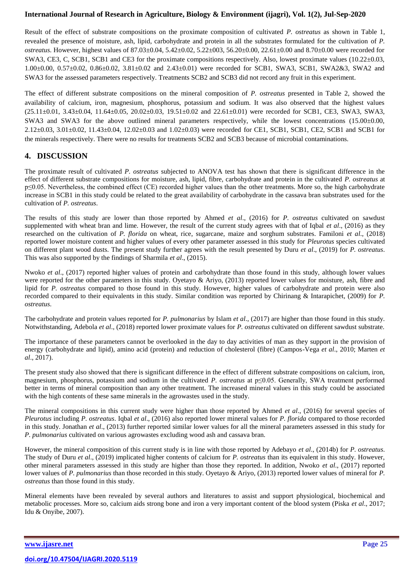Result of the effect of substrate compositions on the proximate composition of cultivated *P. ostreatus* as shown in Table 1, revealed the presence of moisture, ash, lipid, carbohydrate and protein in all the substrates formulated for the cultivation of *P. ostreatus*. However, highest values of 87.03±0.04, 5.42±0.02, 5.22±003, 56.20±0.00, 22.61±0.00 and 8.70±0.00 were recorded for SWA3, CE3, C, SCB1, SCB1 and CE3 for the proximate compositions respectively. Also, lowest proximate values (10.22±0.03, 1.00±0.00, 0.57±0.02, 0.86±0.02, 3.81±0.02 and 2.43±0.01) were recorded for SCB1, SWA3, SCB1, SWA2&3, SWA2 and SWA3 for the assessed parameters respectively. Treatments SCB2 and SCB3 did not record any fruit in this experiment.

The effect of different substrate compositions on the mineral composition of *P. ostreatus* presented in Table 2, showed the availability of calcium, iron, magnesium, phosphorus, potassium and sodium. It was also observed that the highest values  $(25.11\pm0.01, 3.43\pm0.04, 11.64\pm0.05, 20.02\pm0.03, 19.51\pm0.02$  and  $22.61\pm0.01$ ) were recorded for SCB1, CE3, SWA3, SWA3, SWA3 and SWA3 for the above outlined mineral parameters respectively, while the lowest concentrations (15.00±0.00, 2.12±0.03, 3.01±0.02, 11.43±0.04, 12.02±0.03 and 1.02±0.03) were recorded for CE1, SCB1, SCB1, CE2, SCB1 and SCB1 for the minerals respectively. There were no results for treatments SCB2 and SCB3 because of microbial contaminations.

## **4. DISCUSSION**

The proximate result of cultivated *P. ostreatus* subjected to ANOVA test has shown that there is significant difference in the effect of different substrate compositions for moisture, ash, lipid, fibre, carbohydrate and protein in the cultivated *P. ostreatus* at p≤0.05. Nevertheless, the combined effect (CE) recorded higher values than the other treatments. More so, the high carbohydrate increase in SCB1 in this study could be related to the great availability of carbohydrate in the cassava bran substrates used for the cultivation of *P. ostreatus*.

The results of this study are lower than those reported by Ahmed *et al*., (2016) for *P. ostreatus* cultivated on sawdust supplemented with wheat bran and lime. However, the result of the current study agrees with that of Iqbal *et al*., (2016) as they researched on the cultivation of *P. florida* on wheat, rice, sugarcane, maize and sorghum substrates. Familoni *et al*., (2018) reported lower moisture content and higher values of every other parameter assessed in this study for *Pleurotus* species cultivated on different plant wood dusts. The present study further agrees with the result presented by Duru *et al*., (2019) for *P. ostreatus*. This was also supported by the findings of Sharmila *et al*., (2015).

Nwoko *et al*., (2017) reported higher values of protein and carbohydrate than those found in this study, although lower values were reported for the other parameters in this study. Ovetayo & Ariyo, (2013) reported lower values for moisture, ash, fibre and lipid for *P. ostreatus* compared to those found in this study. However, higher values of carbohydrate and protein were also recorded compared to their equivalents in this study. Similar condition was reported by Chirinang & Intarapichet, (2009) for *P. ostreatus*.

The carbohydrate and protein values reported for *P. pulmonarius* by Islam *et al*., (2017) are higher than those found in this study. Notwithstanding, Adebola *et al*., (2018) reported lower proximate values for *P. ostreatus* cultivated on different sawdust substrate.

The importance of these parameters cannot be overlooked in the day to day activities of man as they support in the provision of energy (carbohydrate and lipid), amino acid (protein) and reduction of cholesterol (fibre) (Campos-Vega *et al*., 2010; Marten *et al*., 2017).

The present study also showed that there is significant difference in the effect of different substrate compositions on calcium, iron, magnesium, phosphorus, potassium and sodium in the cultivated *P. ostreatus* at p≤0.05. Generally, SWA treatment performed better in terms of mineral composition than any other treatment. The increased mineral values in this study could be associated with the high contents of these same minerals in the agrowastes used in the study.

The mineral compositions in this current study were higher than those reported by Ahmed *et al*., (2016) for several species of *Pleurotus* including *P. ostreatus*. Iqbal *et al*., (2016) also reported lower mineral values for *P. florida* compared to those recorded in this study. Jonathan *et al*., (2013) further reported similar lower values for all the mineral parameters assessed in this study for *P. pulmonarius* cultivated on various agrowastes excluding wood ash and cassava bran.

However, the mineral composition of this current study is in line with those reported by Adebayo *et al*., (2014b) for *P. ostreatus*. The study of Duru *et al*., (2019) implicated higher contents of calcium for *P. ostreatus* than its equivalent in this study. However, other mineral parameters assessed in this study are higher than those they reported. In addition, Nwoko *et al*., (2017) reported lower values of *P. pulmonarius* than those recorded in this study. Oyetayo & Ariyo, (2013) reported lower values of mineral for *P. ostreatus* than those found in this study.

Mineral elements have been revealed by several authors and literatures to assist and support physiological, biochemical and metabolic processes. More so, calcium aids strong bone and iron a very important content of the blood system (Piska *et al*., 2017; Idu & Onyibe, 2007).

**[www.ijasre.net](http://www.ijasre.net/) Page 25**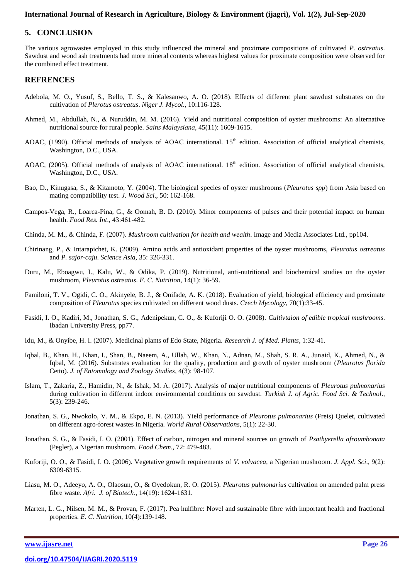## **5. CONCLUSION**

The various agrowastes employed in this study influenced the mineral and proximate compositions of cultivated *P. ostreatus*. Sawdust and wood ash treatments had more mineral contents whereas highest values for proximate composition were observed for the combined effect treatment.

#### **REFRENCES**

- Adebola, M. O., Yusuf, S., Bello, T. S., & Kalesanwo, A. O. (2018). Effects of different plant sawdust substrates on the cultivation of *Plerotus ostreatus*. *Niger J. Mycol*., 10:116-128.
- Ahmed, M., Abdullah, N., & Nuruddin, M. M. (2016). Yield and nutritional composition of oyster mushrooms: An alternative nutritional source for rural people. *Sains Malaysiana*, 45(11): 1609-1615.
- AOAC, (1990). Official methods of analysis of AOAC international.  $15<sup>th</sup>$  edition. Association of official analytical chemists, Washington, D.C., USA.
- AOAC, (2005). Official methods of analysis of AOAC international.  $18<sup>th</sup>$  edition. Association of official analytical chemists, Washington, D.C., USA.
- Bao, D., Kinugasa, S., & Kitamoto, Y. (2004). The biological species of oyster mushrooms (*Pleurotus spp*) from Asia based on mating compatibility test. *J. Wood Sci*., 50: 162-168.
- Campos-Vega, R., Loarca-Pina, G., & Oomah, B. D. (2010). Minor components of pulses and their potential impact on human health. *Food Res. Int*., 43:461-482.
- Chinda, M. M., & Chinda, F. (2007). *Mushroom cultivation for health and wealth*. Image and Media Associates Ltd., pp104.
- Chirinang, P., & Intarapichet, K. (2009). Amino acids and antioxidant properties of the oyster mushrooms, *Pleurotus ostreatus* and *P. sajor-caju*. *Science Asia*, 35: 326-331.
- Duru, M., Eboagwu, I., Kalu, W., & Odika, P. (2019). Nutritional, anti-nutritional and biochemical studies on the oyster mushroom, *Pleurotus ostreatus*. *E. C. Nutrition*, 14(1): 36-59.
- Familoni, T. V., Ogidi, C. O., Akinyele, B. J., & Onifade, A. K. (2018). Evaluation of yield, biological efficiency and proximate composition of *Pleurotus* species cultivated on different wood dusts. *Czech Mycology*, 70(1):33-45.
- Fasidi, I. O., Kadiri, M., Jonathan, S. G., Adenipekun, C. O., & Kuforiji O. O. (2008). *Cultivtaion of edible tropical mushrooms*. Ibadan University Press, pp77.
- Idu, M., & Onyibe, H. I. (2007). Medicinal plants of Edo State, Nigeria. *Research J. of Med. Plants*, 1:32-41.
- Iqbal, B., Khan, H., Khan, I., Shan, B., Naeem, A., Ullah, W., Khan, N., Adnan, M., Shah, S. R. A., Junaid, K., Ahmed, N., & Iqbal, M. (2016). Substrates evaluation for the quality, production and growth of oyster mushroom (*Pleurotus florida* Cetto). *J. of Entomology and Zoology Studies*, 4(3): 98-107.
- Islam, T., Zakaria, Z., Hamidin, N., & Ishak, M. A. (2017). Analysis of major nutritional components of *Pleurotus pulmonarius* during cultivation in different indoor environmental conditions on sawdust. *Turkish J. of Agric. Food Sci. & Technol*., 5(3): 239-246.
- Jonathan, S. G., Nwokolo, V. M., & Ekpo, E. N. (2013). Yield performance of *Pleurotus pulmonarius* (Freis) Quelet, cultivated on different agro-forest wastes in Nigeria. *World Rural Observations*, 5(1): 22-30.
- Jonathan, S. G., & Fasidi, I. O. (2001). Effect of carbon, nitrogen and mineral sources on growth of *Psathyerella afroumbonata* (Pegler), a Nigerian mushroom. *Food Chem*., 72: 479-483.
- Kuforiji, O. O., & Fasidi, I. O. (2006). Vegetative growth requirements of *V. volvacea*, a Nigerian mushroom. *J. Appl. Sci*., 9(2): 6309-6315.
- Liasu, M. O., Adeeyo, A. O., Olaosun, O., & Oyedokun, R. O. (2015). *Pleurotus pulmonarius* cultivation on amended palm press fibre waste. *Afri. J. of Biotech*., 14(19): 1624-1631.
- Marten, L. G., Nilsen, M. M., & Provan, F. (2017). Pea hulfibre: Novel and sustainable fibre with important health and fractional properties. *E. C. Nutrition*, 10(4):139-148.

**[www.ijasre.net](http://www.ijasre.net/) Page 26**